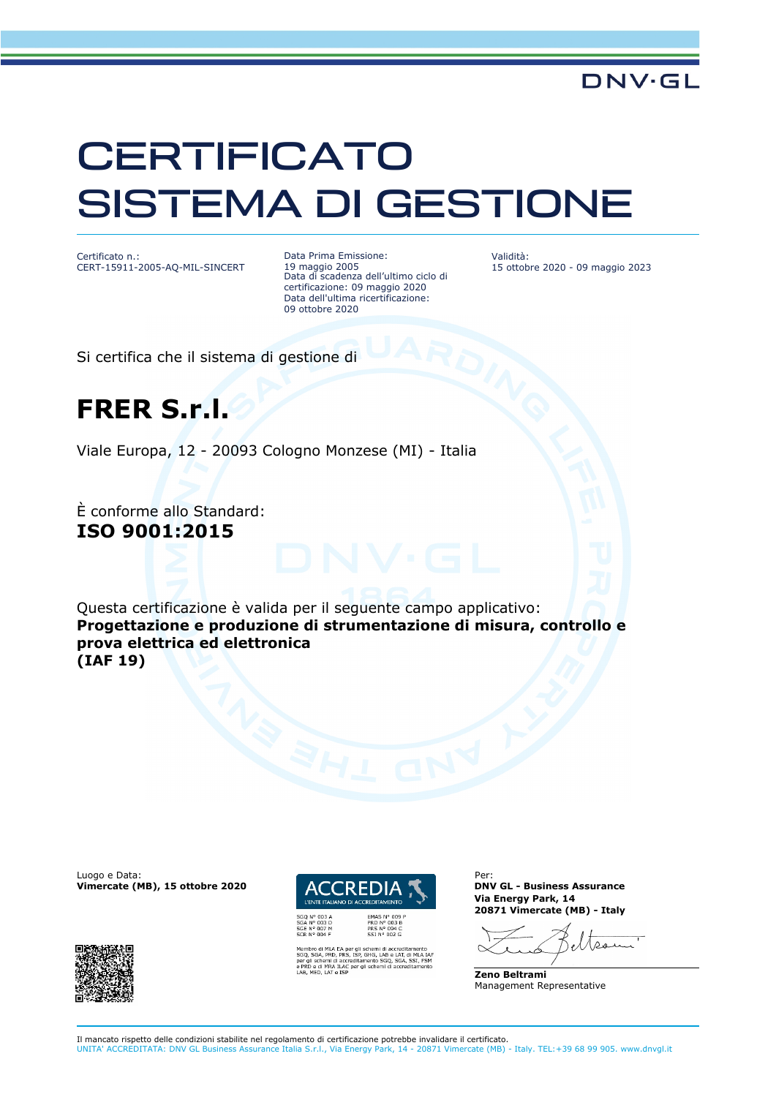## **CERTIFICATO** SISTEMA DI GESTIONE

Certificato n.: CERT-15911-2005-AQ-MIL-SINCERT Data Prima Emissione: 19 maggio 2005 Data di scadenza dell'ultimo ciclo di certificazione: 09 maggio 2020 Data dell'ultima ricertificazione: 09 ottobre 2020

Validità: 15 ottobre 2020 - 09 maggio 2023

**DNV·GL** 

Si certifica che il sistema di gestione di

### **FRER S.r.l.**

Viale Europa, 12 - 20093 Cologno Monzese (MI) - Italia

È conforme allo Standard: **ISO 9001:2015**

Questa certificazione è valida per il seguente campo applicativo: **Progettazione e produzione di strumentazione di misura, controllo e prova elettrica ed elettronica (IAF 19)**

Luogo e Data: **Vimercate (MB), 15 ottobre 2020**





.<br>GHG, LAB e LAT, di MLA<br>nento SGQ, SGA, SSI, FS<br>i schemi di accreditamer

Per: **DNV GL - Business Assurance Via Energy Park, 14 20871 Vimercate (MB) - Italy**

ده. ۱۸

**Zeno Beltrami** Management Representative

Il mancato rispetto delle condizioni stabilite nel regolamento di certificazione potrebbe invalidare il certificato. UNITA' ACCREDITATA: DNV GL Business Assurance Italia S.r.l., Via Energy Park, 14 - 20871 Vimercate (MB) - Italy. TEL:+39 68 99 905. www.dnvgl.it